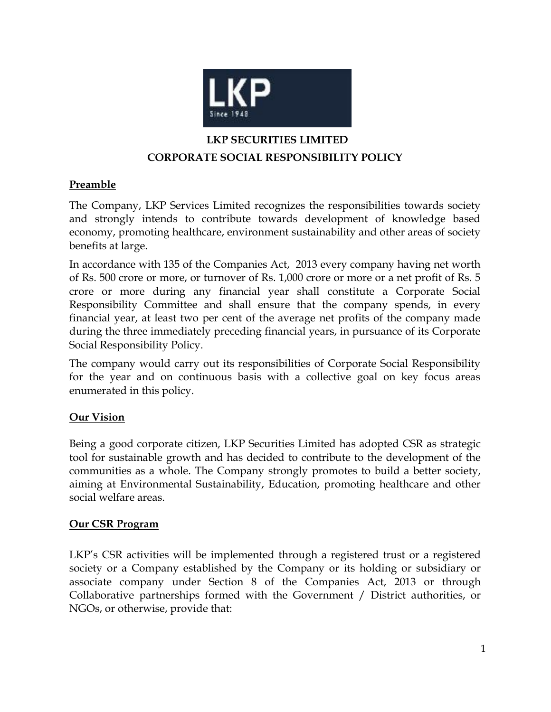

# **LKP SECURITIES LIMITED CORPORATE SOCIAL RESPONSIBILITY POLICY**

# **Preamble**

The Company, LKP Services Limited recognizes the responsibilities towards society and strongly intends to contribute towards development of knowledge based economy, promoting healthcare, environment sustainability and other areas of society benefits at large.

In accordance with 135 of the Companies Act, 2013 every company having net worth of Rs. 500 crore or more, or turnover of Rs. 1,000 crore or more or a net profit of Rs. 5 crore or more during any financial year shall constitute a Corporate Social Responsibility Committee and shall ensure that the company spends, in every financial year, at least two per cent of the average net profits of the company made during the three immediately preceding financial years, in pursuance of its Corporate Social Responsibility Policy.

The company would carry out its responsibilities of Corporate Social Responsibility for the year and on continuous basis with a collective goal on key focus areas enumerated in this policy.

# **Our Vision**

Being a good corporate citizen, LKP Securities Limited has adopted CSR as strategic tool for sustainable growth and has decided to contribute to the development of the communities as a whole. The Company strongly promotes to build a better society, aiming at Environmental Sustainability, Education, promoting healthcare and other social welfare areas.

# **Our CSR Program**

LKP's CSR activities will be implemented through a registered trust or a registered society or a Company established by the Company or its holding or subsidiary or associate company under Section 8 of the Companies Act, 2013 or through Collaborative partnerships formed with the Government / District authorities, or NGOs, or otherwise, provide that: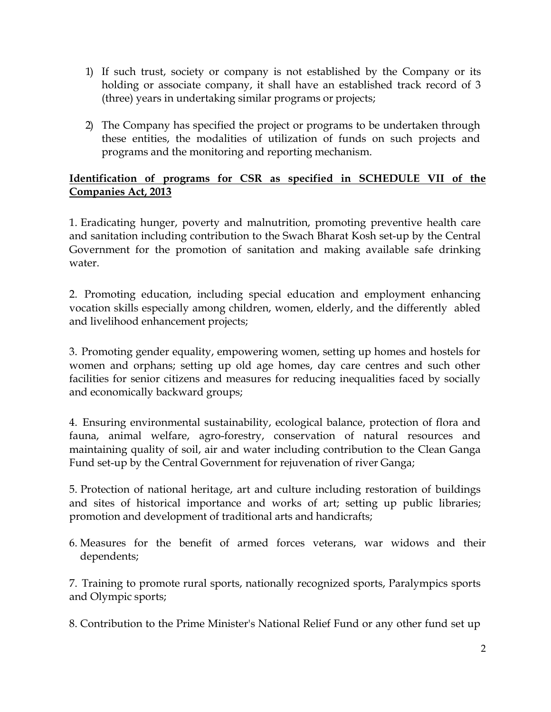- 1) If such trust, society or company is not established by the Company or its holding or associate company, it shall have an established track record of 3 (three) years in undertaking similar programs or projects;
- 2) The Company has specified the project or programs to be undertaken through these entities, the modalities of utilization of funds on such projects and programs and the monitoring and reporting mechanism.

# **Identification of programs for CSR as specified in SCHEDULE VII of the Companies Act, 2013**

1. Eradicating hunger, poverty and malnutrition, promoting preventive health care and sanitation including contribution to the Swach Bharat Kosh set-up by the Central Government for the promotion of sanitation and making available safe drinking water.

2. Promoting education, including special education and employment enhancing vocation skills especially among children, women, elderly, and the differently abled and livelihood enhancement projects;

3. Promoting gender equality, empowering women, setting up homes and hostels for women and orphans; setting up old age homes, day care centres and such other facilities for senior citizens and measures for reducing inequalities faced by socially and economically backward groups;

4. Ensuring environmental sustainability, ecological balance, protection of flora and fauna, animal welfare, agro-forestry, conservation of natural resources and maintaining quality of soil, air and water including contribution to the Clean Ganga Fund set-up by the Central Government for rejuvenation of river Ganga;

5. Protection of national heritage, art and culture including restoration of buildings and sites of historical importance and works of art; setting up public libraries; promotion and development of traditional arts and handicrafts;

6. Measures for the benefit of armed forces veterans, war widows and their dependents;

7. Training to promote rural sports, nationally recognized sports, Paralympics sports and Olympic sports;

8. Contribution to the Prime Minister's National Relief Fund or any other fund set up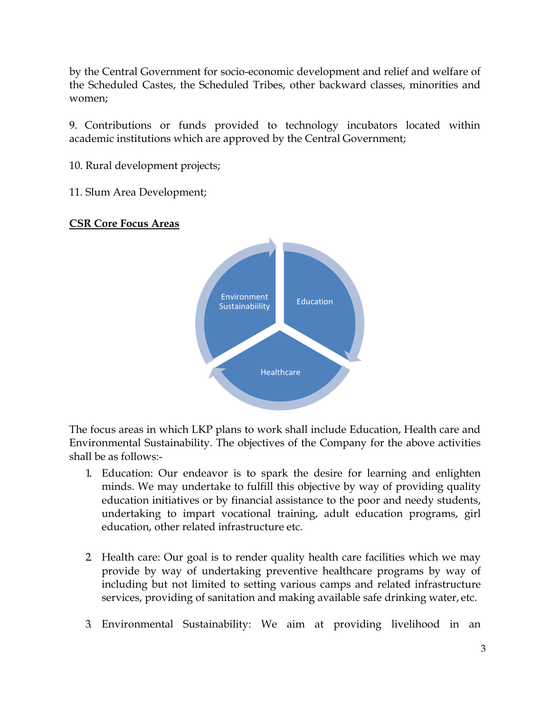by the Central Government for socio-economic development and relief and welfare of the Scheduled Castes, the Scheduled Tribes, other backward classes, minorities and women;

9. Contributions or funds provided to technology incubators located within academic institutions which are approved by the Central Government;

10. Rural development projects;

11. Slum Area Development;

#### **CSR Core Focus Areas**



The focus areas in which LKP plans to work shall include Education, Health care and Environmental Sustainability. The objectives of the Company for the above activities shall be as follows:-

- 1. Education: Our endeavor is to spark the desire for learning and enlighten minds. We may undertake to fulfill this objective by way of providing quality education initiatives or by financial assistance to the poor and needy students, undertaking to impart vocational training, adult education programs, girl education, other related infrastructure etc.
- 2. Health care: Our goal is to render quality health care facilities which we may provide by way of undertaking preventive healthcare programs by way of including but not limited to setting various camps and related infrastructure services, providing of sanitation and making available safe drinking water, etc.
- 3. Environmental Sustainability: We aim at providing livelihood in an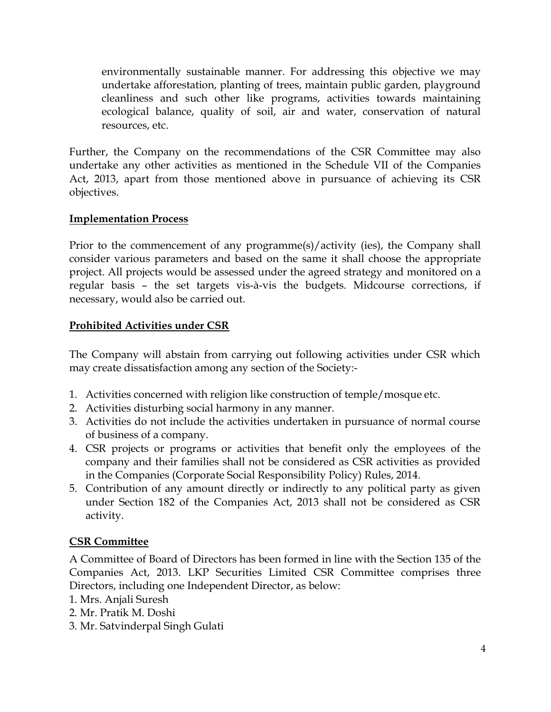environmentally sustainable manner. For addressing this objective we may undertake afforestation, planting of trees, maintain public garden, playground cleanliness and such other like programs, activities towards maintaining ecological balance, quality of soil, air and water, conservation of natural resources, etc.

Further, the Company on the recommendations of the CSR Committee may also undertake any other activities as mentioned in the Schedule VII of the Companies Act, 2013, apart from those mentioned above in pursuance of achieving its CSR objectives.

### **Implementation Process**

Prior to the commencement of any programme(s)/activity (ies), the Company shall consider various parameters and based on the same it shall choose the appropriate project. All projects would be assessed under the agreed strategy and monitored on a regular basis – the set targets vis-à-vis the budgets. Midcourse corrections, if necessary, would also be carried out.

### **Prohibited Activities under CSR**

The Company will abstain from carrying out following activities under CSR which may create dissatisfaction among any section of the Society:-

- 1. Activities concerned with religion like construction of temple/mosque etc.
- 2. Activities disturbing social harmony in any manner.
- 3. Activities do not include the activities undertaken in pursuance of normal course of business of a company.
- 4. CSR projects or programs or activities that benefit only the employees of the company and their families shall not be considered as CSR activities as provided in the Companies (Corporate Social Responsibility Policy) Rules, 2014.
- 5. Contribution of any amount directly or indirectly to any political party as given under Section 182 of the Companies Act, 2013 shall not be considered as CSR activity.

#### **CSR Committee**

A Committee of Board of Directors has been formed in line with the Section 135 of the Companies Act, 2013. LKP Securities Limited CSR Committee comprises three Directors, including one Independent Director, as below:

- 1. Mrs. Anjali Suresh
- 2. Mr. Pratik M. Doshi
- 3. Mr. Satvinderpal Singh Gulati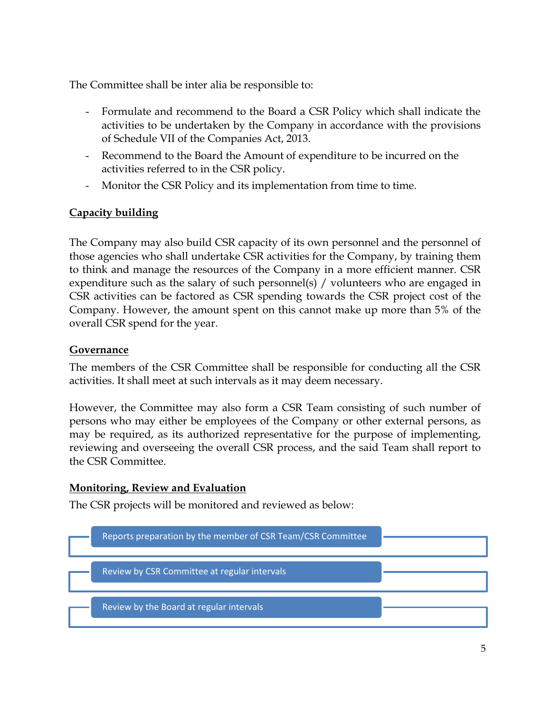The Committee shall be inter alia be responsible to:

- Formulate and recommend to the Board a CSR Policy which shall indicate the activities to be undertaken by the Company in accordance with the provisions of Schedule VII of the Companies Act, 2013.
- Recommend to the Board the Amount of expenditure to be incurred on the activities referred to in the CSR policy.
- Monitor the CSR Policy and its implementation from time to time.

# **Capacity building**

The Company may also build CSR capacity of its own personnel and the personnel of those agencies who shall undertake CSR activities for the Company, by training them to think and manage the resources of the Company in a more efficient manner. CSR expenditure such as the salary of such personnel(s) / volunteers who are engaged in CSR activities can be factored as CSR spending towards the CSR project cost of the Company. However, the amount spent on this cannot make up more than 5% of the overall CSR spend for the year.

### **Governance**

The members of the CSR Committee shall be responsible for conducting all the CSR activities. It shall meet at such intervals as it may deem necessary.

However, the Committee may also form a CSR Team consisting of such number of persons who may either be employees of the Company or other external persons, as may be required, as its authorized representative for the purpose of implementing, reviewing and overseeing the overall CSR process, and the said Team shall report to the CSR Committee.

# **Monitoring, Review and Evaluation**

The CSR projects will be monitored and reviewed as below: